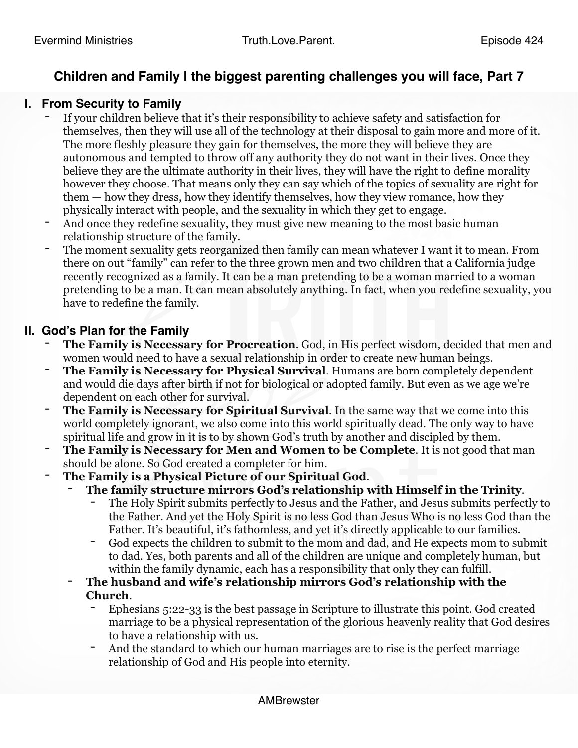# **Children and Family | the biggest parenting challenges you will face, Part 7**

### **I. From Security to Family**

- If your children believe that it's their responsibility to achieve safety and satisfaction for themselves, then they will use all of the technology at their disposal to gain more and more of it. The more fleshly pleasure they gain for themselves, the more they will believe they are autonomous and tempted to throw off any authority they do not want in their lives. Once they believe they are the ultimate authority in their lives, they will have the right to define morality however they choose. That means only they can say which of the topics of sexuality are right for them — how they dress, how they identify themselves, how they view romance, how they physically interact with people, and the sexuality in which they get to engage.
- And once they redefine sexuality, they must give new meaning to the most basic human relationship structure of the family.
- The moment sexuality gets reorganized then family can mean whatever I want it to mean. From there on out "family" can refer to the three grown men and two children that a California judge recently recognized as a family. It can be a man pretending to be a woman married to a woman pretending to be a man. It can mean absolutely anything. In fact, when you redefine sexuality, you have to redefine the family.

### **II. God's Plan for the Family**

- The Family is Necessary for Procreation. God, in His perfect wisdom, decided that men and women would need to have a sexual relationship in order to create new human beings.
- The Family is Necessary for Physical Survival. Humans are born completely dependent and would die days after birth if not for biological or adopted family. But even as we age we're dependent on each other for survival.
- The Family is Necessary for Spiritual Survival. In the same way that we come into this world completely ignorant, we also come into this world spiritually dead. The only way to have spiritual life and grow in it is to by shown God's truth by another and discipled by them.
- **The Family is Necessary for Men and Women to be Complete.** It is not good that man should be alone. So God created a completer for him.
- **The Family is a Physical Picture of our Spiritual God**.
	- **The family structure mirrors God's relationship with Himself in the Trinity**.
		- The Holy Spirit submits perfectly to Jesus and the Father, and Jesus submits perfectly to the Father. And yet the Holy Spirit is no less God than Jesus Who is no less God than the Father. It's beautiful, it's fathomless, and yet it's directly applicable to our families.
		- God expects the children to submit to the mom and dad, and He expects mom to submit to dad. Yes, both parents and all of the children are unique and completely human, but within the family dynamic, each has a responsibility that only they can fulfill.
	- **The husband and wife's relationship mirrors God's relationship with the Church**.
		- Ephesians 5:22-33 is the best passage in Scripture to illustrate this point. God created marriage to be a physical representation of the glorious heavenly reality that God desires to have a relationship with us.
		- And the standard to which our human marriages are to rise is the perfect marriage relationship of God and His people into eternity.